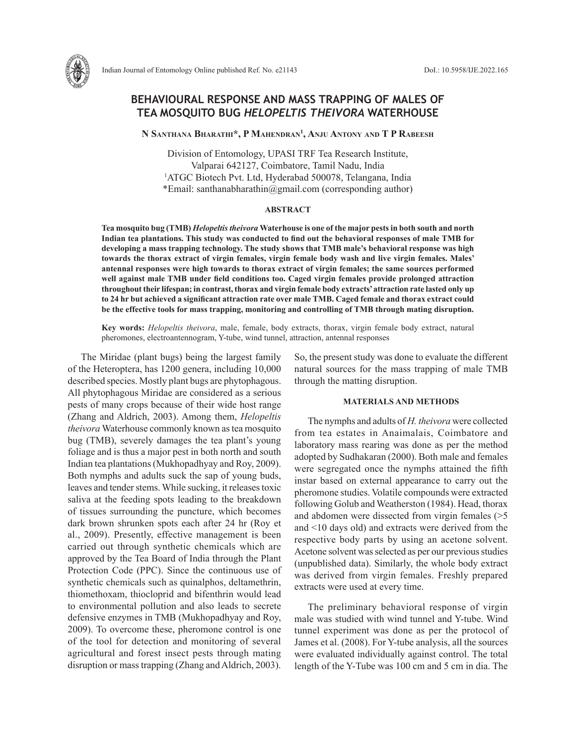

# **BEHAVIOURAL RESPONSE AND MASS TRAPPING OF MALES OF TEA MOSQUITO BUG** *HELOPELTIS THEIVORA* **WATERHOUSE**

**N Santhana Bharathi\*, P Mahendran1 , Anju Antony and T P Rabeesh**

Division of Entomology, UPASI TRF Tea Research Institute, Valparai 642127, Coimbatore, Tamil Nadu, India 1 ATGC Biotech Pvt. Ltd, Hyderabad 500078, Telangana, India \*Email: santhanabharathin@gmail.com (corresponding author)

#### **ABSTRACT**

**Tea mosquito bug (TMB)** *Helopeltis theivora* **Waterhouse is one of the major pests in both south and north Indian tea plantations. This study was conducted to find out the behavioral responses of male TMB for developing a mass trapping technology. The study shows that TMB male's behavioral response was high towards the thorax extract of virgin females, virgin female body wash and live virgin females. Males' antennal responses were high towards to thorax extract of virgin females; the same sources performed well against male TMB under field conditions too. Caged virgin females provide prolonged attraction throughout their lifespan; in contrast, thorax and virgin female body extracts' attraction rate lasted only up to 24 hr but achieved a significant attraction rate over male TMB. Caged female and thorax extract could be the effective tools for mass trapping, monitoring and controlling of TMB through mating disruption.**

**Key words:** *Helopeltis theivora*, male, female, body extracts, thorax, virgin female body extract, natural pheromones, electroantennogram, Y-tube, wind tunnel, attraction, antennal responses

The Miridae (plant bugs) being the largest family of the Heteroptera, has 1200 genera, including 10,000 described species. Mostly plant bugs are phytophagous. All phytophagous Miridae are considered as a serious pests of many crops because of their wide host range (Zhang and Aldrich, 2003). Among them, *Helopeltis theivora* Waterhouse commonly known as tea mosquito bug (TMB), severely damages the tea plant's young foliage and is thus a major pest in both north and south Indian tea plantations (Mukhopadhyay and Roy, 2009). Both nymphs and adults suck the sap of young buds, leaves and tender stems. While sucking, it releases toxic saliva at the feeding spots leading to the breakdown of tissues surrounding the puncture, which becomes dark brown shrunken spots each after 24 hr (Roy et al., 2009). Presently, effective management is been carried out through synthetic chemicals which are approved by the Tea Board of India through the Plant Protection Code (PPC). Since the continuous use of synthetic chemicals such as quinalphos, deltamethrin, thiomethoxam, thiocloprid and bifenthrin would lead to environmental pollution and also leads to secrete defensive enzymes in TMB (Mukhopadhyay and Roy, 2009). To overcome these, pheromone control is one of the tool for detection and monitoring of several agricultural and forest insect pests through mating disruption or mass trapping (Zhang and Aldrich, 2003).

So, the present study was done to evaluate the different natural sources for the mass trapping of male TMB through the matting disruption.

## **MATERIALS AND METHODS**

The nymphs and adults of *H. theivora* were collected from tea estates in Anaimalais, Coimbatore and laboratory mass rearing was done as per the method adopted by Sudhakaran (2000). Both male and females were segregated once the nymphs attained the fifth instar based on external appearance to carry out the pheromone studies. Volatile compounds were extracted following Golub and Weatherston (1984). Head, thorax and abdomen were dissected from virgin females (>5 and <10 days old) and extracts were derived from the respective body parts by using an acetone solvent. Acetone solvent was selected as per our previous studies (unpublished data). Similarly, the whole body extract was derived from virgin females. Freshly prepared extracts were used at every time.

The preliminary behavioral response of virgin male was studied with wind tunnel and Y-tube. Wind tunnel experiment was done as per the protocol of James et al. (2008). For Y-tube analysis, all the sources were evaluated individually against control. The total length of the Y-Tube was 100 cm and 5 cm in dia. The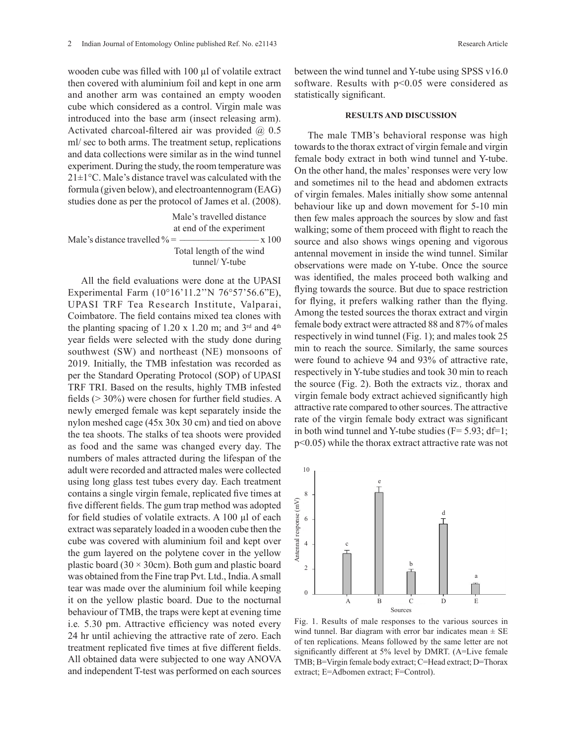wooden cube was filled with 100 µl of volatile extract then covered with aluminium foil and kept in one arm and another arm was contained an empty wooden cube which considered as a control. Virgin male was introduced into the base arm (insect releasing arm). Activated charcoal-filtered air was provided @ 0.5 ml/ sec to both arms. The treatment setup, replications and data collections were similar as in the wind tunnel experiment. During the study, the room temperature was  $21\pm1\degree$ C. Male's distance travel was calculated with the formula (given below), and electroantennogram (EAG) studies done as per the protocol of James et al. (2008).

Male's travelled distance at end of the experiment

\nMale's distance travelled 
$$
\% = \frac{x}{100}
$$

\nTotal length of the wind tunnel / Y-tube

All the field evaluations were done at the UPASI Experimental Farm (10°16'11.2''N 76°57'56.6"E), UPASI TRF Tea Research Institute, Valparai, Coimbatore. The field contains mixed tea clones with the planting spacing of 1.20 x 1.20 m; and  $3<sup>rd</sup>$  and  $4<sup>th</sup>$ year fields were selected with the study done during southwest (SW) and northeast (NE) monsoons of 2019. Initially, the TMB infestation was recorded as per the Standard Operating Protocol (SOP) of UPASI TRF TRI. Based on the results, highly TMB infested fields (> 30%) were chosen for further field studies. A newly emerged female was kept separately inside the nylon meshed cage (45x 30x 30 cm) and tied on above the tea shoots. The stalks of tea shoots were provided as food and the same was changed every day. The numbers of males attracted during the lifespan of the adult were recorded and attracted males were collected using long glass test tubes every day. Each treatment contains a single virgin female, replicated five times at five different fields. The gum trap method was adopted for field studies of volatile extracts. A 100 µl of each extract was separately loaded in a wooden cube then the cube was covered with aluminium foil and kept over the gum layered on the polytene cover in the yellow plastic board (30  $\times$  30cm). Both gum and plastic board was obtained from the Fine trap Pvt. Ltd., India. A small tear was made over the aluminium foil while keeping it on the yellow plastic board. Due to the nocturnal behaviour of TMB, the traps were kept at evening time i.e*.* 5.30 pm. Attractive efficiency was noted every 24 hr until achieving the attractive rate of zero. Each treatment replicated five times at five different fields. All obtained data were subjected to one way ANOVA and independent T-test was performed on each sources

between the wind tunnel and Y-tube using SPSS v16.0 software. Results with  $p<0.05$  were considered as statistically significant.

### **RESULTS AND DISCUSSION**

The male TMB's behavioral response was high towards to the thorax extract of virgin female and virgin female body extract in both wind tunnel and Y-tube. On the other hand, the males' responses were very low and sometimes nil to the head and abdomen extracts of virgin females. Males initially show some antennal behaviour like up and down movement for 5-10 min then few males approach the sources by slow and fast walking; some of them proceed with flight to reach the source and also shows wings opening and vigorous antennal movement in inside the wind tunnel. Similar observations were made on Y-tube. Once the source was identified, the males proceed both walking and flying towards the source. But due to space restriction for flying, it prefers walking rather than the flying. Among the tested sources the thorax extract and virgin female body extract were attracted 88 and 87% of males respectively in wind tunnel (Fig. 1); and males took 25 min to reach the source. Similarly, the same sources were found to achieve 94 and 93% of attractive rate, respectively in Y-tube studies and took 30 min to reach the source (Fig. 2). Both the extracts viz*.,* thorax and virgin female body extract achieved significantly high attractive rate compared to other sources. The attractive rate of the virgin female body extract was significant in both wind tunnel and Y-tube studies ( $F= 5.93$ ; d $f=1$ ; p<0.05) while the thorax extract attractive rate was not



Fig. 1. Results of male responses to the various sources in wind tunnel. Bar diagram with error bar indicates mean  $\pm$  SE of ten replications. Means followed by the same letter are not significantly different at 5% level by DMRT. (A=Live female TMB; B=Virgin female body extract; C=Head extract; D=Thorax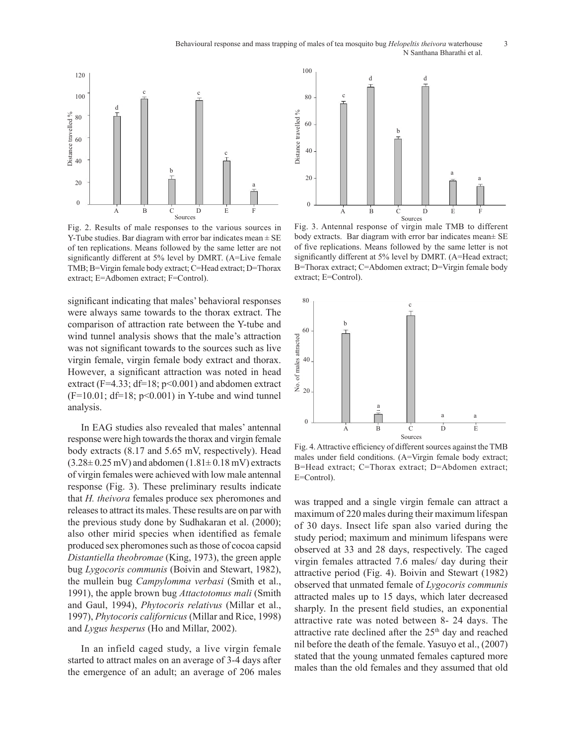Behavioural response and mass trapping of males of tea mosquito bug *Helopeltis theivora* waterhouse 3 N Santhana Bharathi et al.



Fig. 2. Results of male responses to the various sources in Y-Tube studies. Bar diagram with error bar indicates mean  $\pm$  SE of ten replications. Means followed by the same letter are not significantly different at 5% level by DMRT. (A=Live female TMB; B=Virgin female body extract; C=Head extract; D=Thorax extract; E=Adbomen extract; F=Control).

significant indicating that males' behavioral responses were always same towards to the thorax extract. The comparison of attraction rate between the Y-tube and wind tunnel analysis shows that the male's attraction was not significant towards to the sources such as live virgin female, virgin female body extract and thorax. However, a significant attraction was noted in head extract (F=4.33; df=18;  $p<0.001$ ) and abdomen extract  $(F=10.01; df=18; p<0.001)$  in Y-tube and wind tunnel analysis.

In EAG studies also revealed that males' antennal response were high towards the thorax and virgin female body extracts (8.17 and 5.65 mV, respectively). Head  $(3.28\pm 0.25 \,\mathrm{mV})$  and abdomen  $(1.81\pm 0.18 \,\mathrm{mV})$  extracts of virgin females were achieved with low male antennal response (Fig. 3). These preliminary results indicate that *H. theivora* females produce sex pheromones and releases to attract its males. These results are on par with the previous study done by Sudhakaran et al. (2000); also other mirid species when identified as female produced sex pheromones such as those of cocoa capsid *Distantiella theobromae* (King, 1973), the green apple bug *Lygocoris communis* (Boivin and Stewart, 1982), the mullein bug *Campylomma verbasi* (Smith et al., 1991), the apple brown bug *Attactotomus mali* (Smith and Gaul, 1994), *Phytocoris relativus* (Millar et al., 1997), *Phytocoris californicus* (Millar and Rice, 1998) and *Lygus hesperus* (Ho and Millar, 2002).

In an infield caged study, a live virgin female started to attract males on an average of 3-4 days after the emergence of an adult; an average of 206 males



Fig. 3. Antennal response of virgin male TMB to different body extracts. Bar diagram with error bar indicates mean± SE of five replications. Means followed by the same letter is not significantly different at 5% level by DMRT. (A=Head extract; B=Thorax extract; C=Abdomen extract; D=Virgin female body extract; E=Control).



Fig. 4. Attractive efficiency of different sources against the TMB males under field conditions. (A=Virgin female body extract; B=Head extract; C=Thorax extract; D=Abdomen extract; E=Control).

was trapped and a single virgin female can attract a maximum of 220 males during their maximum lifespan of 30 days. Insect life span also varied during the study period; maximum and minimum lifespans were observed at 33 and 28 days, respectively. The caged virgin females attracted 7.6 males/ day during their attractive period (Fig. 4). Boivin and Stewart (1982) observed that unmated female of *Lygocoris communis* attracted males up to 15 days, which later decreased sharply. In the present field studies, an exponential attractive rate was noted between 8- 24 days. The attractive rate declined after the 25<sup>th</sup> day and reached nil before the death of the female. Yasuyo et al., (2007) stated that the young unmated females captured more males than the old females and they assumed that old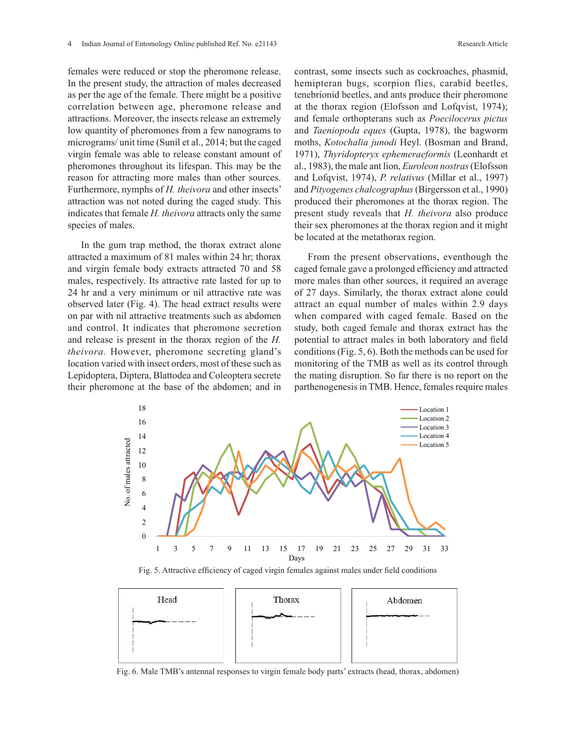females were reduced or stop the pheromone release. In the present study, the attraction of males decreased as per the age of the female. There might be a positive correlation between age, pheromone release and attractions. Moreover, the insects release an extremely low quantity of pheromones from a few nanograms to micrograms/ unit time (Sunil et al., 2014; but the caged virgin female was able to release constant amount of pheromones throughout its lifespan. This may be the reason for attracting more males than other sources. Furthermore, nymphs of *H. theivora* and other insects' attraction was not noted during the caged study. This indicates that female *H. theivora* attracts only the same species of males.

In the gum trap method, the thorax extract alone attracted a maximum of 81 males within 24 hr; thorax and virgin female body extracts attracted 70 and 58 males, respectively. Its attractive rate lasted for up to 24 hr and a very minimum or nil attractive rate was observed later (Fig. 4). The head extract results were on par with nil attractive treatments such as abdomen and control. It indicates that pheromone secretion and release is present in the thorax region of the *H. theivora.* However, pheromone secreting gland's location varied with insect orders, most of these such as Lepidoptera, Diptera, Blattodea and Coleoptera secrete their pheromone at the base of the abdomen; and in

contrast, some insects such as cockroaches, phasmid, hemipteran bugs, scorpion flies, carabid beetles, tenebrionid beetles, and ants produce their pheromone at the thorax region (Elofsson and Lofqvist, 1974); and female orthopterans such as *Poecilocerus pictus*  and *Taeniopoda eques* (Gupta, 1978), the bagworm moths, *Kotochalia junodi* Heyl. (Bosman and Brand, 1971), *Thyridopteryx ephemeraeformis* (Leonhardt et al., 1983), the male ant lion, *Euroleon nostras* (Elofsson and Lofqvist, 1974), *P. relativus* (Millar et al., 1997) and *Pityogenes chalcographus* (Birgersson et al., 1990) produced their pheromones at the thorax region. The present study reveals that *H. theivora* also produce their sex pheromones at the thorax region and it might be located at the metathorax region.

From the present observations, eventhough the caged female gave a prolonged efficiency and attracted more males than other sources, it required an average of 27 days. Similarly, the thorax extract alone could attract an equal number of males within 2.9 days when compared with caged female. Based on the study, both caged female and thorax extract has the potential to attract males in both laboratory and field conditions (Fig. 5, 6). Both the methods can be used for monitoring of the TMB as well as its control through the mating disruption. So far there is no report on the parthenogenesis in TMB. Hence, females require males



Fig. 4. Attractive efficiency of caged virgin females against males under field conditions Fig. 5. Attractive efficiency of caged virgin females against males under field conditions



Fig. 5. Male TMB's antennal responses to virgin female body parts' extracts (head, thorax, abdomen). Fig. 6. Male TMB's antennal responses to virgin female body parts' extracts (head, thorax, abdomen)